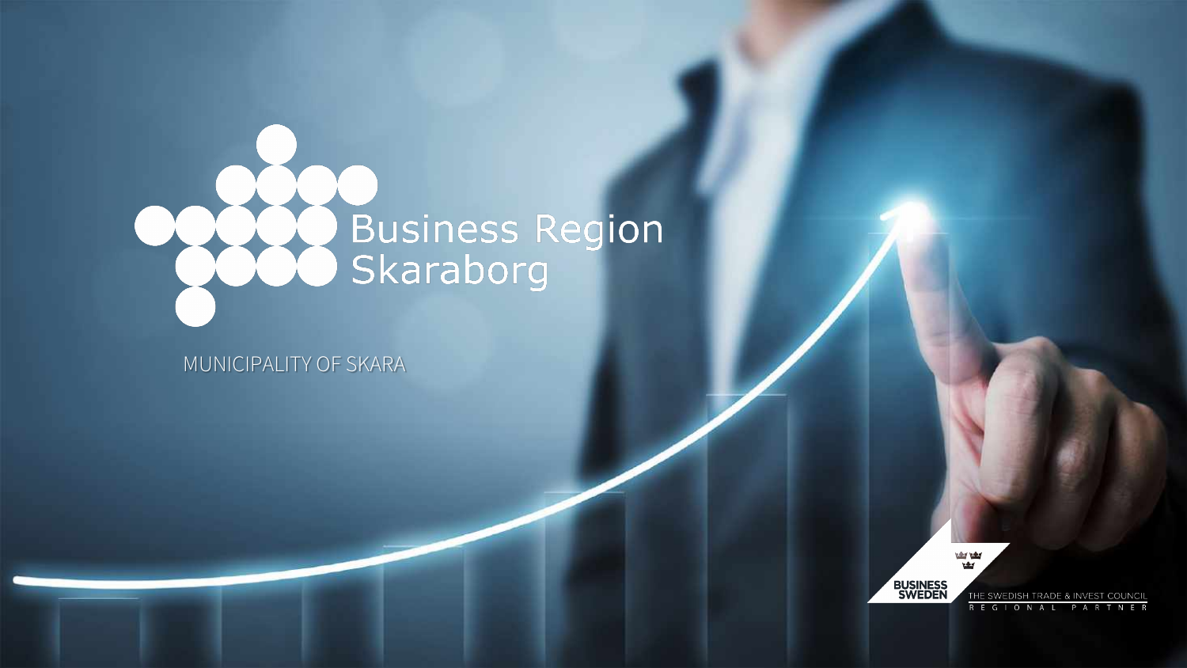

MUNICIPALITY OF SKARA



THE SWEDISH TRADE & INVEST COUNCIL R E G I O N A L PARTNER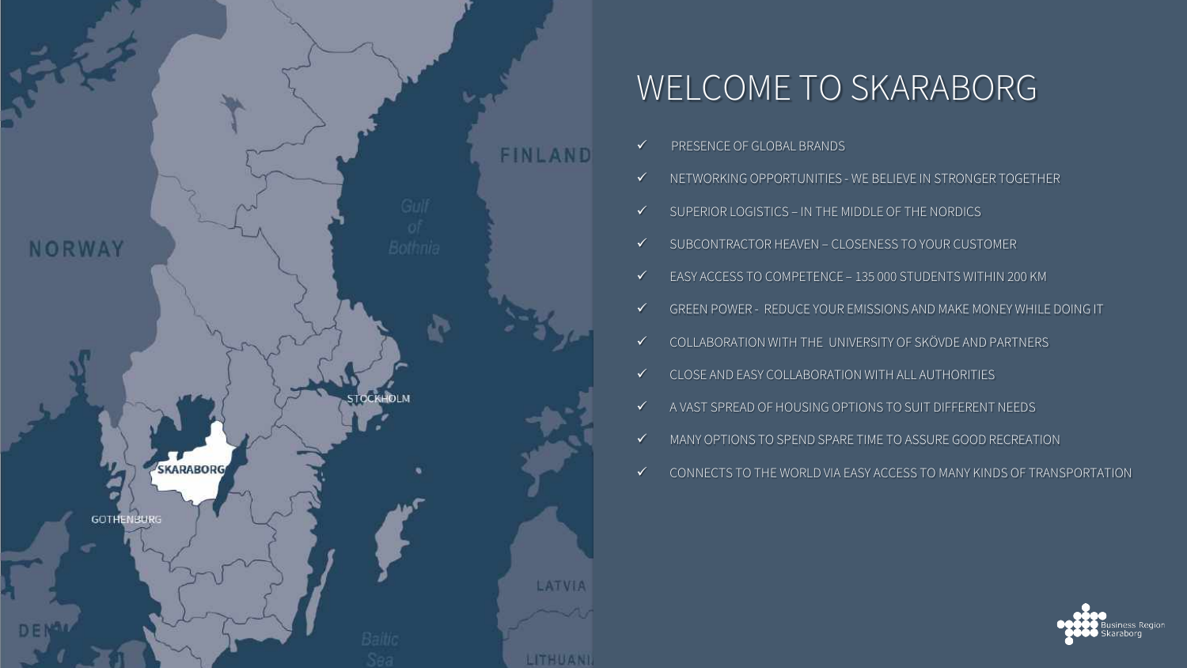

# WELCOME TO SKARABORG

- PRESENCE OF GLOBAL BRANDS
- $\checkmark$  NETWORKING OPPORTUNITIES WE BELIEVE IN STRONGER TOGETHER
- $\checkmark$  SUPERIOR LOGISTICS IN THE MIDDLE OF THE NORDICS
- $\checkmark$  SUBCONTRACTOR HEAVEN CLOSENESS TO YOUR CUSTOMER
- EASY ACCESS TO COMPETENCE 135 000 STUDENTS WITHIN 200 KM
- GREEN POWER REDUCE YOUR EMISSIONS AND MAKE MONEY WHILE DOING IT
- COLLABORATION WITH THE UNIVERSITY OF SKÖVDE AND PARTNERS
- $\checkmark$  CLOSE AND EASY COLLABORATION WITH ALL AUTHORITIES
- $\checkmark$  A VAST SPREAD OF HOUSING OPTIONS TO SUIT DIFFERENT NEEDS.
- $\checkmark$  MANY OPTIONS TO SPEND SPARE TIME TO ASSURE GOOD RECREATION
- $\checkmark$  CONNECTS TO THE WORLD VIA EASY ACCESS TO MANY KINDS OF TRANSPORTATION

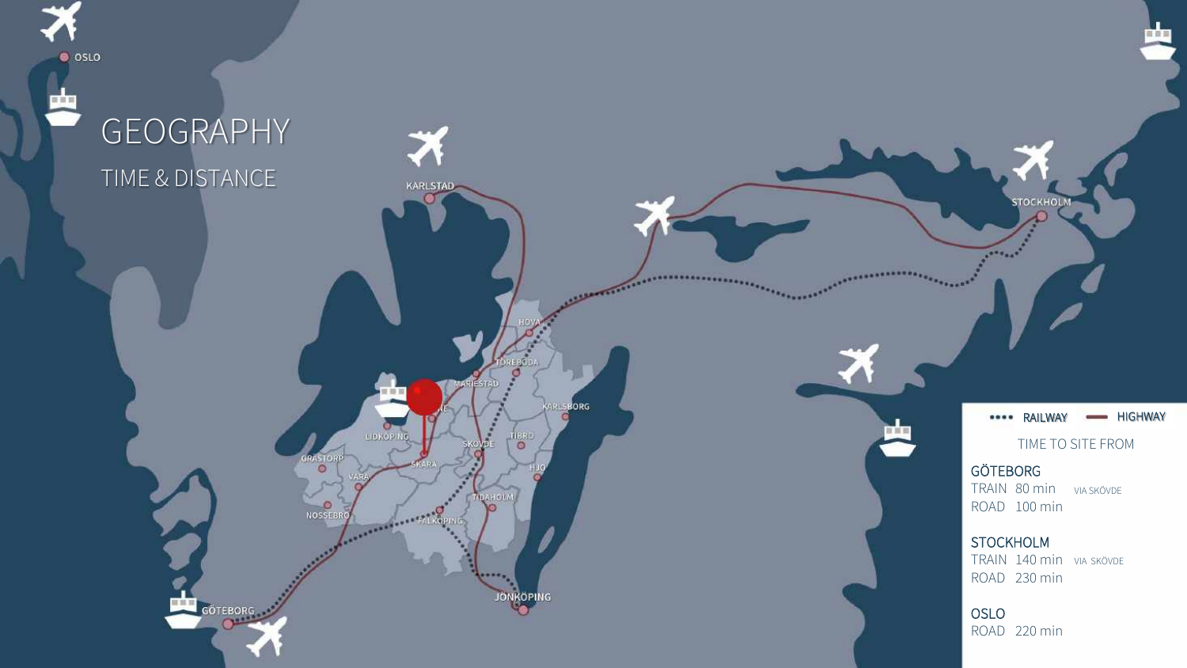

# GEOGRAPHY TIME & DISTANCE

KARLSTAD

LIDKOP

**Contract Contract** 

 $\circ$ 

**O**<br>NOSSEBRO

**GÖTEBORG** 

\*\*\*\* RAILWAY - HIGHWAY

**STOCKHOLM** 

TIME TO SITE FROM

#### GÖTEBORG

**TEAMERS** 

...................

**BORG** 

BBO  $\circ$ 

**JÖNKÖPING** 

TRAIN 80 min VIA SKÖVDE ROAD 100 min

**STOCKHOLM** 

TRAIN 140 min VIA SKÖVDE ROAD 230 min

OSLO ROAD 220 min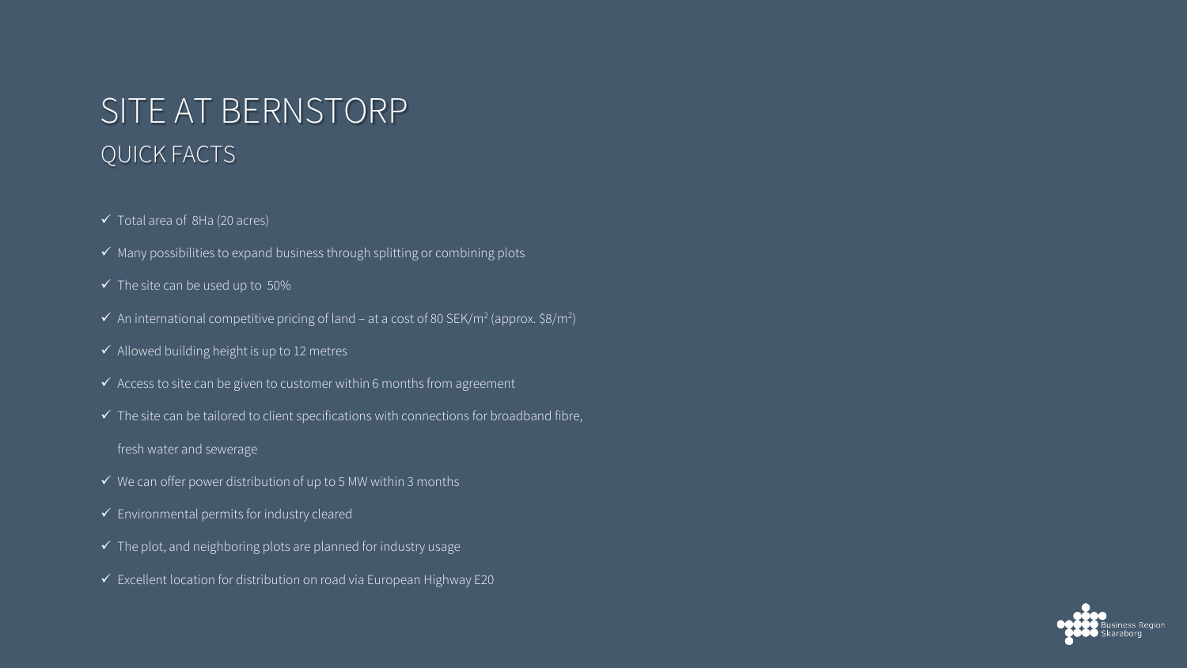# SITE AT BERNSTORP QUICK FACTS

- $\checkmark$  Total area of 8Ha (20 acres)
- $\checkmark$  Many possibilities to expand business through splitting or combining plots
- $\checkmark$  The site can be used up to 50%
- $\checkmark$  An international competitive pricing of land at a cost of 80 SEK/m<sup>2</sup> (approx. \$8/m<sup>2</sup>)
- $\checkmark$  Allowed building height is up to 12 metres
- $\checkmark$  Access to site can be given to customer within 6 months from agreement
- $\checkmark$  The site can be tailored to client specifications with connections for broadband fibre,
- fresh water and sewerage
- $\checkmark$  We can offer power distribution of up to 5 MW within 3 months
- $\checkmark$  Environmental permits for industry cleared
- $\checkmark$  The plot, and neighboring plots are planned for industry usage
- $\checkmark$  Excellent location for distribution on road via European Highway E20

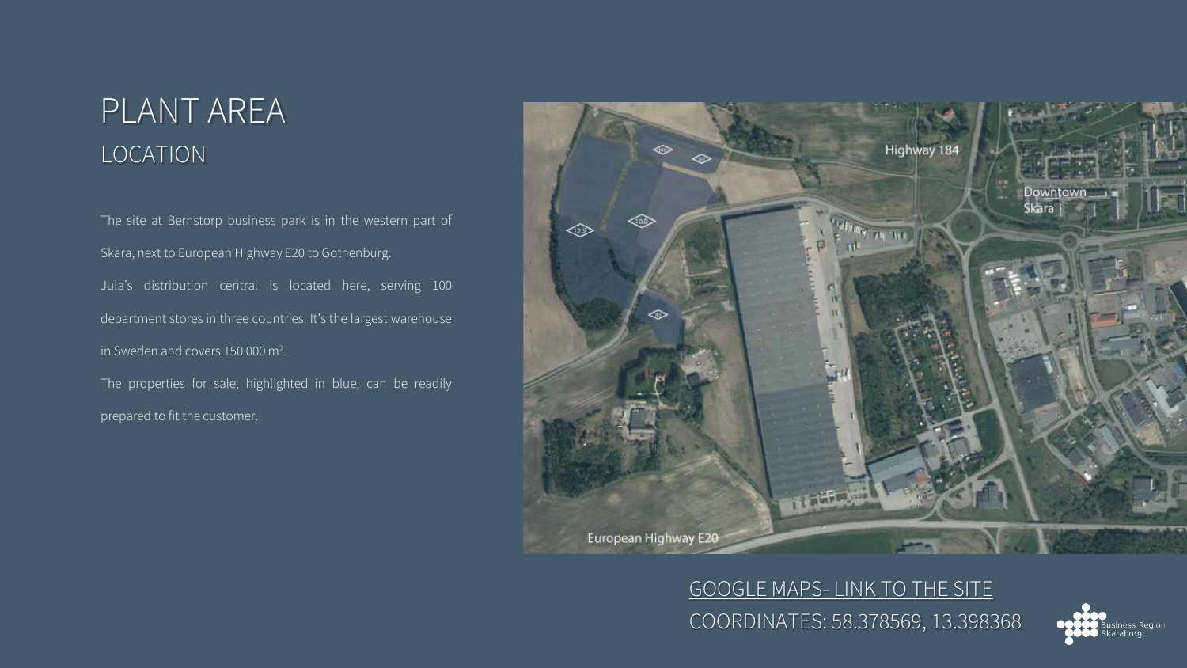### PLANT AREA LOCATION

The site at Bernstorp business park is in the western part of Skara, next to European Highway E20 to Gothenburg. Jula's distribution central is located here, serving 100 department stores in three countries. It's the largest warehouse in Sweden and covers 150 000 m2.

The properties for sale, highlighted in blue, can be readily prepared to fit the customer.



COORDINATES: 58.378569, 13.398368 GOOGLE MAPS- [LINK TO THE SITE](https://www.google.com/maps/place/Unnamed+Road,+532+95+Skara/@58.3782347,13.398507,591m/data=!3m1!1e3!4m5!3m4!1s0x465adfc271ebad7d:0x25f3f5f93c37e937!8m2!3d58.3790291!4d13.3971121)

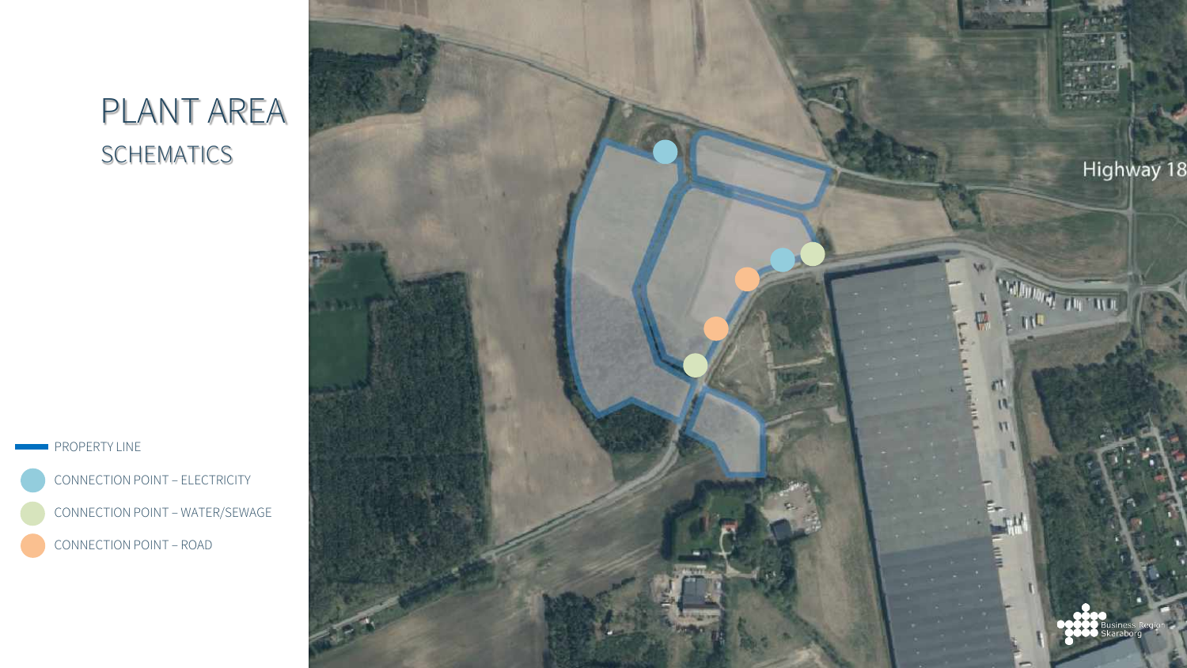## PLANT AREA SCHEMATICS



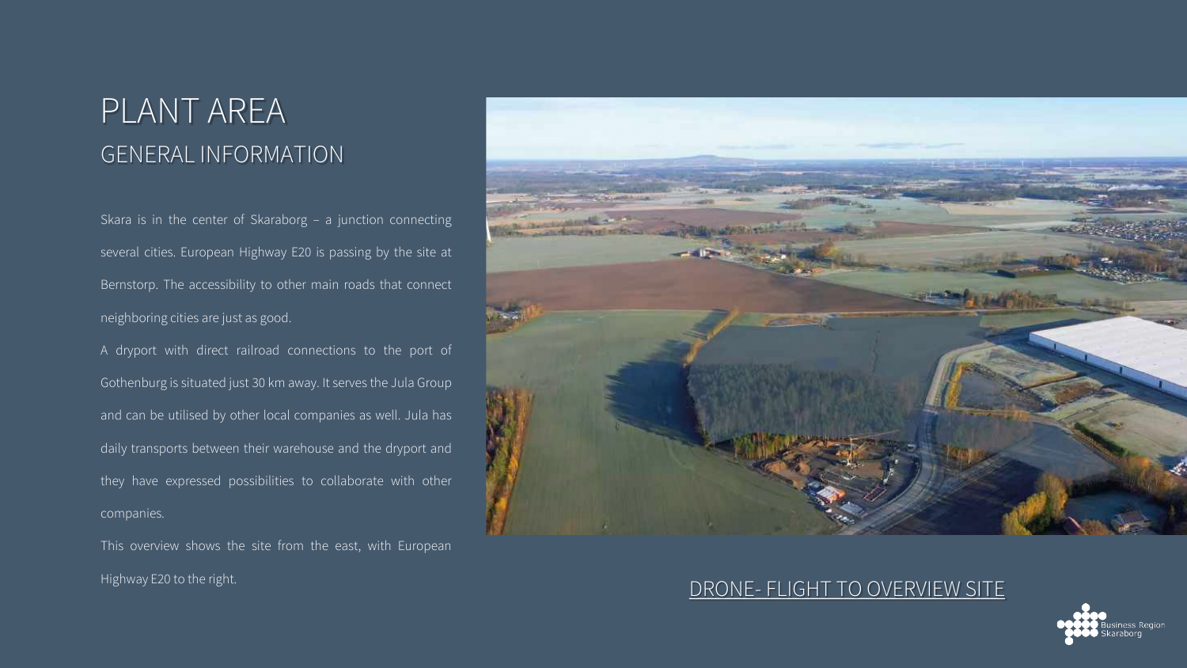### PLANT AREA GENERAL INFORMATION

Skara is in the center of Skaraborg – a junction connecting several cities. European Highway E20 is passing by the site at Bernstorp. The accessibility to other main roads that connect neighboring cities are just as good.

A dryport with direct railroad connections to the port of Gothenburg is situated just 30 km away. It serves the Jula Group and can be utilised by other local companies as well. Jula has daily transports between their warehouse and the dryport and they have expressed possibilities to collaborate with other companies.

This overview shows the site from the east, with European Highway E20 to the right.



#### DRONE- [FLIGHT TO OVERVIEW SITE](https://youtu.be/S_ATaweCX0g?list=PLj-c2DPrAm5ZljTKSCiqmnDdzLD_OsDCz)

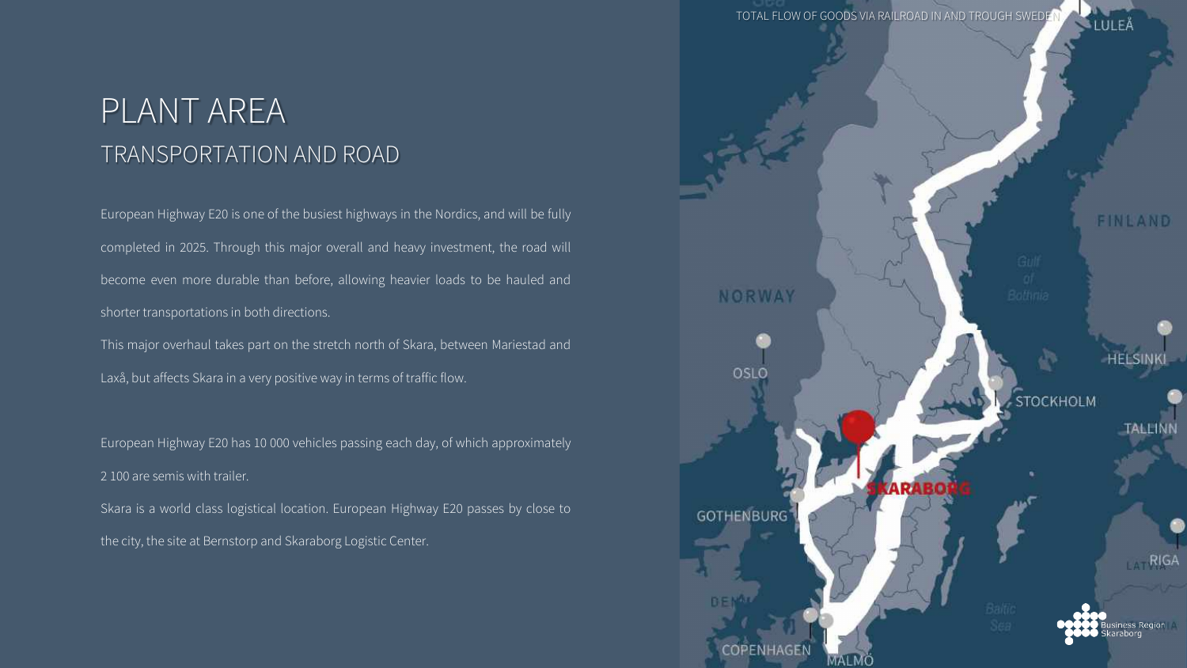### PLANT AREA TRANSPORTATION AND ROAD

European Highway E20 is one of the busiest highways in the Nordics, and will be fully completed in 2025. Through this major overall and heavy investment, the road will become even more durable than before, allowing heavier loads to be hauled and shorter transportations in both directions.

This major overhaul takes part on the stretch north of Skara, between Mariestad and Laxå, but affects Skara in a very positive way in terms of traffic flow.

European Highway E20 has 10 000 vehicles passing each day, of which approximately 2 100 are semis with trailer.

Skara is a world class logistical location. European Highway E20 passes by close to the city, the site at Bernstorp and Skaraborg Logistic Center.